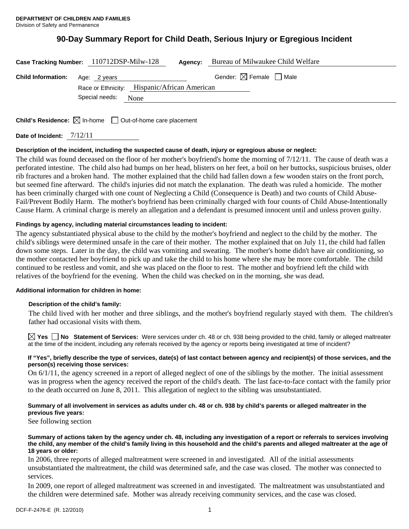# **90-Day Summary Report for Child Death, Serious Injury or Egregious Incident**

| Case Tracking Number: 110712DSP-Milw-128 |                                              |      | Agency: | Bureau of Milwaukee Child Welfare      |
|------------------------------------------|----------------------------------------------|------|---------|----------------------------------------|
| <b>Child Information:</b> Age: 2 years   |                                              |      |         | Gender: $\boxtimes$ Female $\Box$ Male |
|                                          | Race or Ethnicity: Hispanic/African American |      |         |                                        |
|                                          | Special needs:                               | None |         |                                        |
|                                          |                                              |      |         |                                        |

**Child's Residence:**  $\boxtimes$  In-home  $\Box$  Out-of-home care placement

**Date of Incident:** 7/12/11

## **Description of the incident, including the suspected cause of death, injury or egregious abuse or neglect:**

The child was found deceased on the floor of her mother's boyfriend's home the morning of 7/12/11. The cause of death was a perforated intestine. The child also had bumps on her head, blisters on her feet, a boil on her buttocks, suspicious bruises, older rib fractures and a broken hand. The mother explained that the child had fallen down a few wooden stairs on the front porch, but seemed fine afterward. The child's injuries did not match the explanation. The death was ruled a homicide. The mother has been criminally charged with one count of Neglecting a Child (Consequence is Death) and two counts of Child Abuse-Fail/Prevent Bodily Harm. The mother's boyfriend has been criminally charged with four counts of Child Abuse-Intentionally Cause Harm. A criminal charge is merely an allegation and a defendant is presumed innocent until and unless proven guilty.

## **Findings by agency, including material circumstances leading to incident:**

The agency substantiated physical abuse to the child by the mother's boyfriend and neglect to the child by the mother. The child's siblings were determined unsafe in the care of their mother. The mother explained that on July 11, the child had fallen down some steps. Later in the day, the child was vomiting and sweating. The mother's home didn't have air conditioning, so the mother contacted her boyfriend to pick up and take the child to his home where she may be more comfortable. The child continued to be restless and vomit, and she was placed on the floor to rest. The mother and boyfriend left the child with relatives of the boyfriend for the evening. When the child was checked on in the morning, she was dead.

#### **Additional information for children in home:**

#### **Description of the child's family:**

The child lived with her mother and three siblings, and the mother's boyfriend regularly stayed with them. The children's father had occasional visits with them.

**Yes No** Statement of Services: Were services under ch. 48 or ch. 938 being provided to the child, family or alleged maltreater at the time of the incident, including any referrals received by the agency or reports being investigated at time of incident?

#### **If "Yes", briefly describe the type of services, date(s) of last contact between agency and recipient(s) of those services, and the person(s) receiving those services:**

On 6/1/11, the agency screened in a report of alleged neglect of one of the siblings by the mother. The initial assessment was in progress when the agency received the report of the child's death. The last face-to-face contact with the family prior to the death occurred on June 8, 2011. This allegation of neglect to the sibling was unsubstantiated.

## **Summary of all involvement in services as adults under ch. 48 or ch. 938 by child's parents or alleged maltreater in the previous five years:**

See following section

**Summary of actions taken by the agency under ch. 48, including any investigation of a report or referrals to services involving the child, any member of the child's family living in this household and the child's parents and alleged maltreater at the age of 18 years or older:** 

In 2006, three reports of alleged maltreatment were screened in and investigated. All of the initial assessments unsubstantiated the maltreatment, the child was determined safe, and the case was closed. The mother was connected to services.

In 2009, one report of alleged maltreatment was screened in and investigated. The maltreatment was unsubstantiated and the children were determined safe. Mother was already receiving community services, and the case was closed.